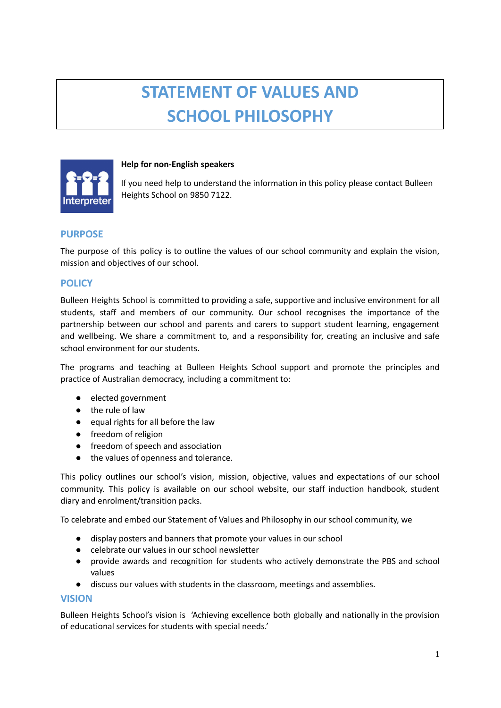# **STATEMENT OF VALUES AND SCHOOL PHILOSOPHY**



#### **Help for non-English speakers**

If you need help to understand the information in this policy please contact Bulleen Heights School on 9850 7122.

# **PURPOSE**

The purpose of this policy is to outline the values of our school community and explain the vision, mission and objectives of our school.

## **POLICY**

Bulleen Heights School is committed to providing a safe, supportive and inclusive environment for all students, staff and members of our community. Our school recognises the importance of the partnership between our school and parents and carers to support student learning, engagement and wellbeing. We share a commitment to, and a responsibility for, creating an inclusive and safe school environment for our students.

The programs and teaching at Bulleen Heights School support and promote the principles and practice of Australian democracy, including a commitment to:

- elected government
- the rule of law
- equal rights for all before the law
- freedom of religion
- freedom of speech and association
- the values of openness and tolerance.

This policy outlines our school's vision, mission, objective, values and expectations of our school community. This policy is available on our school website, our staff induction handbook, student diary and enrolment/transition packs.

To celebrate and embed our Statement of Values and Philosophy in our school community, we

- **●** display posters and banners that promote your values in our school
- **●** celebrate our values in our school newsletter
- **●** provide awards and recognition for students who actively demonstrate the PBS and school values
- **●** discuss our values with students in the classroom, meetings and assemblies.

#### **VISION**

Bulleen Heights School's vision is 'Achieving excellence both globally and nationally in the provision of educational services for students with special needs.'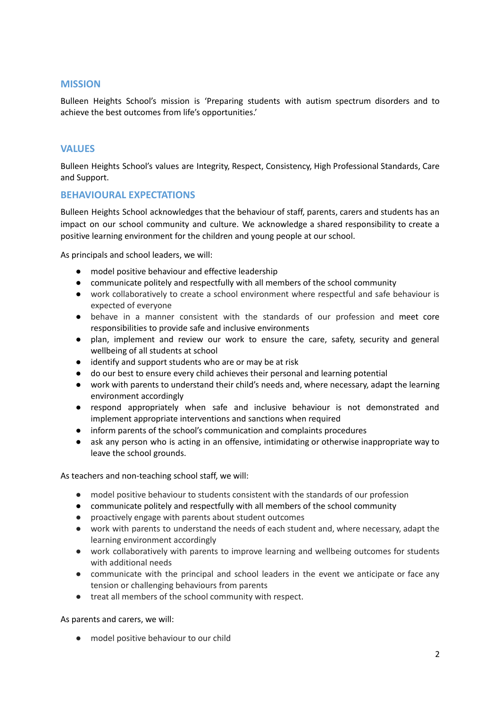#### **MISSION**

Bulleen Heights School's mission is 'Preparing students with autism spectrum disorders and to achieve the best outcomes from life's opportunities.'

## **VALUES**

Bulleen Heights School's values are Integrity, Respect, Consistency, High Professional Standards, Care and Support.

#### **BEHAVIOURAL EXPECTATIONS**

Bulleen Heights School acknowledges that the behaviour of staff, parents, carers and students has an impact on our school community and culture. We acknowledge a shared responsibility to create a positive learning environment for the children and young people at our school.

As principals and school leaders, we will:

- model positive behaviour and effective leadership
- communicate politely and respectfully with all members of the school community
- work collaboratively to create a school environment where respectful and safe behaviour is expected of everyone
- behave in a manner consistent with the standards of our profession and meet core responsibilities to provide safe and inclusive environments
- plan, implement and review our work to ensure the care, safety, security and general wellbeing of all students at school
- identify and support students who are or may be at risk
- do our best to ensure every child achieves their personal and learning potential
- work with parents to understand their child's needs and, where necessary, adapt the learning environment accordingly
- respond appropriately when safe and inclusive behaviour is not demonstrated and implement appropriate interventions and sanctions when required
- inform parents of the school's communication and complaints procedures
- ask any person who is acting in an offensive, intimidating or otherwise inappropriate way to leave the school grounds.

As teachers and non-teaching school staff, we will:

- model positive behaviour to students consistent with the standards of our profession
- communicate politely and respectfully with all members of the school community
- proactively engage with parents about student outcomes
- work with parents to understand the needs of each student and, where necessary, adapt the learning environment accordingly
- work collaboratively with parents to improve learning and wellbeing outcomes for students with additional needs
- communicate with the principal and school leaders in the event we anticipate or face any tension or challenging behaviours from parents
- treat all members of the school community with respect.

As parents and carers, we will:

● model positive behaviour to our child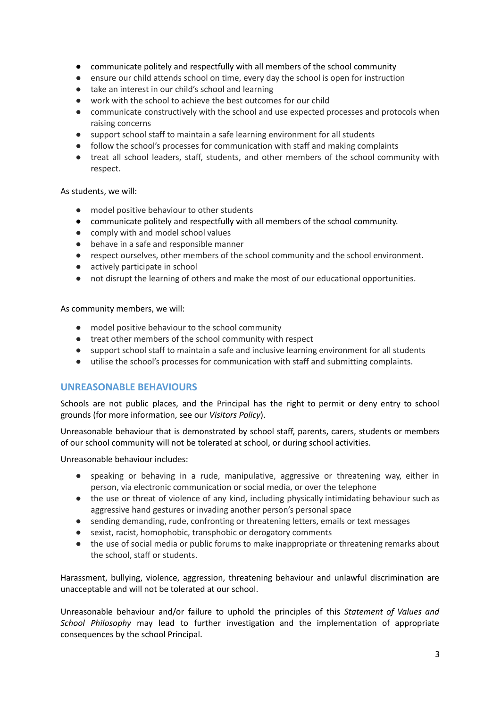- communicate politely and respectfully with all members of the school community
- ensure our child attends school on time, every day the school is open for instruction
- take an interest in our child's school and learning
- work with the school to achieve the best outcomes for our child
- communicate constructively with the school and use expected processes and protocols when raising concerns
- support school staff to maintain a safe learning environment for all students
- follow the school's processes for communication with staff and making complaints
- treat all school leaders, staff, students, and other members of the school community with respect.

#### As students, we will:

- model positive behaviour to other students
- communicate politely and respectfully with all members of the school community.
- comply with and model school values
- behave in a safe and responsible manner
- respect ourselves, other members of the school community and the school environment.
- actively participate in school
- not disrupt the learning of others and make the most of our educational opportunities.

As community members, we will:

- model positive behaviour to the school community
- treat other members of the school community with respect
- support school staff to maintain a safe and inclusive learning environment for all students
- utilise the school's processes for communication with staff and submitting complaints.

# **UNREASONABLE BEHAVIOURS**

Schools are not public places, and the Principal has the right to permit or deny entry to school grounds (for more information, see our *Visitors Policy*).

Unreasonable behaviour that is demonstrated by school staff, parents, carers, students or members of our school community will not be tolerated at school, or during school activities.

Unreasonable behaviour includes:

- speaking or behaving in a rude, manipulative, aggressive or threatening way, either in person, via electronic communication or social media, or over the telephone
- the use or threat of violence of any kind, including physically intimidating behaviour such as aggressive hand gestures or invading another person's personal space
- sending demanding, rude, confronting or threatening letters, emails or text messages
- sexist, racist, homophobic, transphobic or derogatory comments
- the use of social media or public forums to make inappropriate or threatening remarks about the school, staff or students.

Harassment, bullying, violence, aggression, threatening behaviour and unlawful discrimination are unacceptable and will not be tolerated at our school.

Unreasonable behaviour and/or failure to uphold the principles of this *Statement of Values and School Philosophy* may lead to further investigation and the implementation of appropriate consequences by the school Principal.